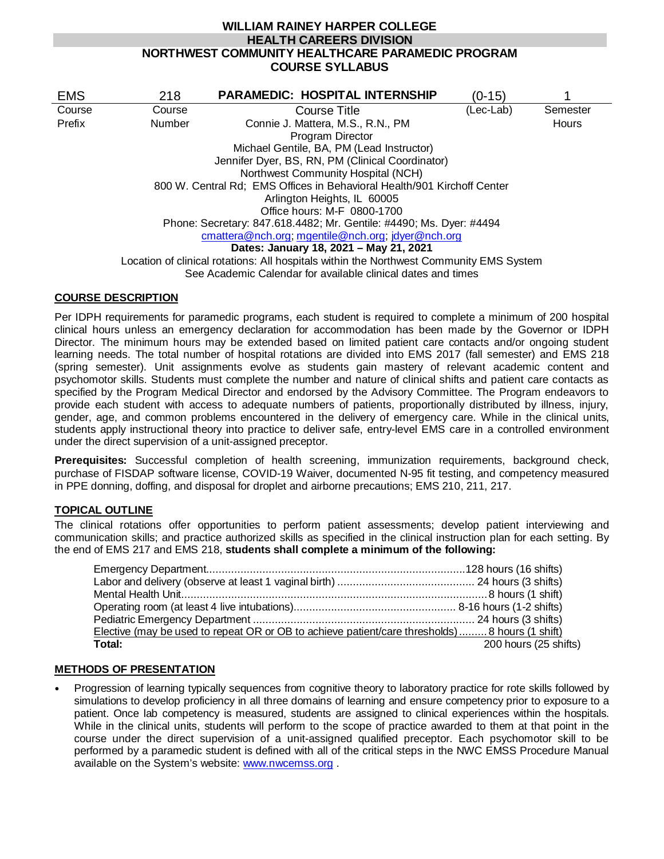# **WILLIAM RAINEY HARPER COLLEGE HEALTH CAREERS DIVISION NORTHWEST COMMUNITY HEALTHCARE PARAMEDIC PROGRAM COURSE SYLLABUS**

| <b>EMS</b>                                | 218                                                                                     | <b>PARAMEDIC: HOSPITAL INTERNSHIP</b>                        | (0-15)    |          |  |
|-------------------------------------------|-----------------------------------------------------------------------------------------|--------------------------------------------------------------|-----------|----------|--|
| Course                                    | Course                                                                                  | <b>Course Title</b>                                          | (Lec-Lab) | Semester |  |
| Prefix                                    | <b>Number</b>                                                                           | Connie J. Mattera, M.S., R.N., PM                            |           | Hours    |  |
|                                           |                                                                                         | Program Director                                             |           |          |  |
| Michael Gentile, BA, PM (Lead Instructor) |                                                                                         |                                                              |           |          |  |
|                                           |                                                                                         |                                                              |           |          |  |
|                                           | Northwest Community Hospital (NCH)                                                      |                                                              |           |          |  |
|                                           | 800 W. Central Rd: EMS Offices in Behavioral Health/901 Kirchoff Center                 |                                                              |           |          |  |
|                                           |                                                                                         | Arlington Heights, IL 60005                                  |           |          |  |
|                                           |                                                                                         | Office hours: M-F 0800-1700                                  |           |          |  |
|                                           | Phone: Secretary: 847.618.4482; Mr. Gentile: #4490; Ms. Dyer: #4494                     |                                                              |           |          |  |
|                                           |                                                                                         | cmattera@nch.org; mgentile@nch.org; jdyer@nch.org            |           |          |  |
|                                           | Dates: January 18, 2021 - May 21, 2021                                                  |                                                              |           |          |  |
|                                           | Location of clinical rotations: All hospitals within the Northwest Community EMS System |                                                              |           |          |  |
|                                           |                                                                                         | See Academic Calendar for available clinical dates and times |           |          |  |

## **COURSE DESCRIPTION**

Per IDPH requirements for paramedic programs, each student is required to complete a minimum of 200 hospital clinical hours unless an emergency declaration for accommodation has been made by the Governor or IDPH Director. The minimum hours may be extended based on limited patient care contacts and/or ongoing student learning needs. The total number of hospital rotations are divided into EMS 2017 (fall semester) and EMS 218 (spring semester). Unit assignments evolve as students gain mastery of relevant academic content and psychomotor skills. Students must complete the number and nature of clinical shifts and patient care contacts as specified by the Program Medical Director and endorsed by the Advisory Committee. The Program endeavors to provide each student with access to adequate numbers of patients, proportionally distributed by illness, injury, gender, age, and common problems encountered in the delivery of emergency care. While in the clinical units, students apply instructional theory into practice to deliver safe, entry-level EMS care in a controlled environment under the direct supervision of a unit-assigned preceptor.

**Prerequisites:** Successful completion of health screening, immunization requirements, background check, purchase of FISDAP software license, COVID-19 Waiver, documented N-95 fit testing, and competency measured in PPE donning, doffing, and disposal for droplet and airborne precautions; EMS 210, 211, 217.

## **TOPICAL OUTLINE**

The clinical rotations offer opportunities to perform patient assessments; develop patient interviewing and communication skills; and practice authorized skills as specified in the clinical instruction plan for each setting. By the end of EMS 217 and EMS 218, **students shall complete a minimum of the following:**

| Elective (may be used to repeat OR or OB to achieve patient/care thresholds) 8 hours (1 shift) |                       |
|------------------------------------------------------------------------------------------------|-----------------------|
| Total:                                                                                         | 200 hours (25 shifts) |

## **METHODS OF PRESENTATION**

 Progression of learning typically sequences from cognitive theory to laboratory practice for rote skills followed by simulations to develop proficiency in all three domains of learning and ensure competency prior to exposure to a patient. Once lab competency is measured, students are assigned to clinical experiences within the hospitals. While in the clinical units, students will perform to the scope of practice awarded to them at that point in the course under the direct supervision of a unit-assigned qualified preceptor. Each psychomotor skill to be performed by a paramedic student is defined with all of the critical steps in the NWC EMSS Procedure Manual available on the System's website: [www.nwcemss.org](http://www.nwcemss.org/) .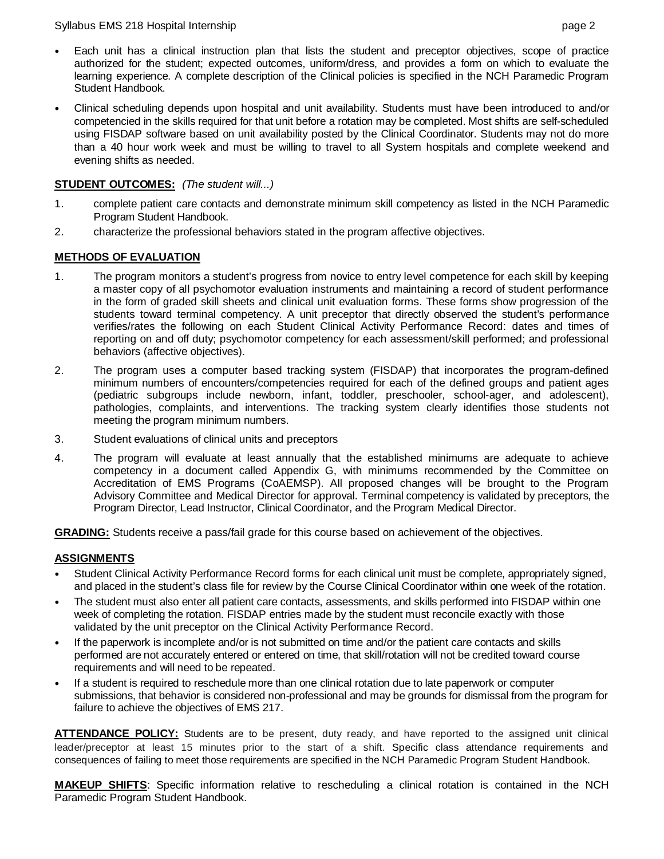#### Syllabus EMS 218 Hospital Internship page 2

- Each unit has a clinical instruction plan that lists the student and preceptor objectives, scope of practice authorized for the student; expected outcomes, uniform/dress, and provides a form on which to evaluate the learning experience. A complete description of the Clinical policies is specified in the NCH Paramedic Program Student Handbook.
- Clinical scheduling depends upon hospital and unit availability. Students must have been introduced to and/or competencied in the skills required for that unit before a rotation may be completed. Most shifts are self-scheduled using FISDAP software based on unit availability posted by the Clinical Coordinator. Students may not do more than a 40 hour work week and must be willing to travel to all System hospitals and complete weekend and evening shifts as needed.

## **STUDENT OUTCOMES:** *(The student will...)*

- 1. complete patient care contacts and demonstrate minimum skill competency as listed in the NCH Paramedic Program Student Handbook.
- 2. characterize the professional behaviors stated in the program affective objectives.

## **METHODS OF EVALUATION**

- 1. The program monitors a student's progress from novice to entry level competence for each skill by keeping a master copy of all psychomotor evaluation instruments and maintaining a record of student performance in the form of graded skill sheets and clinical unit evaluation forms. These forms show progression of the students toward terminal competency. A unit preceptor that directly observed the student's performance verifies/rates the following on each Student Clinical Activity Performance Record: dates and times of reporting on and off duty; psychomotor competency for each assessment/skill performed; and professional behaviors (affective objectives).
- 2. The program uses a computer based tracking system (FISDAP) that incorporates the program-defined minimum numbers of encounters/competencies required for each of the defined groups and patient ages (pediatric subgroups include newborn, infant, toddler, preschooler, school-ager, and adolescent), pathologies, complaints, and interventions. The tracking system clearly identifies those students not meeting the program minimum numbers.
- 3. Student evaluations of clinical units and preceptors
- 4. The program will evaluate at least annually that the established minimums are adequate to achieve competency in a document called Appendix G, with minimums recommended by the Committee on Accreditation of EMS Programs (CoAEMSP). All proposed changes will be brought to the Program Advisory Committee and Medical Director for approval. Terminal competency is validated by preceptors, the Program Director, Lead Instructor, Clinical Coordinator, and the Program Medical Director.

**GRADING:** Students receive a pass/fail grade for this course based on achievement of the objectives.

## **ASSIGNMENTS**

- Student Clinical Activity Performance Record forms for each clinical unit must be complete, appropriately signed, and placed in the student's class file for review by the Course Clinical Coordinator within one week of the rotation.
- The student must also enter all patient care contacts, assessments, and skills performed into FISDAP within one week of completing the rotation. FISDAP entries made by the student must reconcile exactly with those validated by the unit preceptor on the Clinical Activity Performance Record.
- If the paperwork is incomplete and/or is not submitted on time and/or the patient care contacts and skills performed are not accurately entered or entered on time, that skill/rotation will not be credited toward course requirements and will need to be repeated.
- If a student is required to reschedule more than one clinical rotation due to late paperwork or computer submissions, that behavior is considered non-professional and may be grounds for dismissal from the program for failure to achieve the objectives of EMS 217.

**ATTENDANCE POLICY:** Students are to be present, duty ready, and have reported to the assigned unit clinical leader/preceptor at least 15 minutes prior to the start of a shift. Specific class attendance requirements and consequences of failing to meet those requirements are specified in the NCH Paramedic Program Student Handbook.

**MAKEUP SHIFTS**: Specific information relative to rescheduling a clinical rotation is contained in the NCH Paramedic Program Student Handbook.